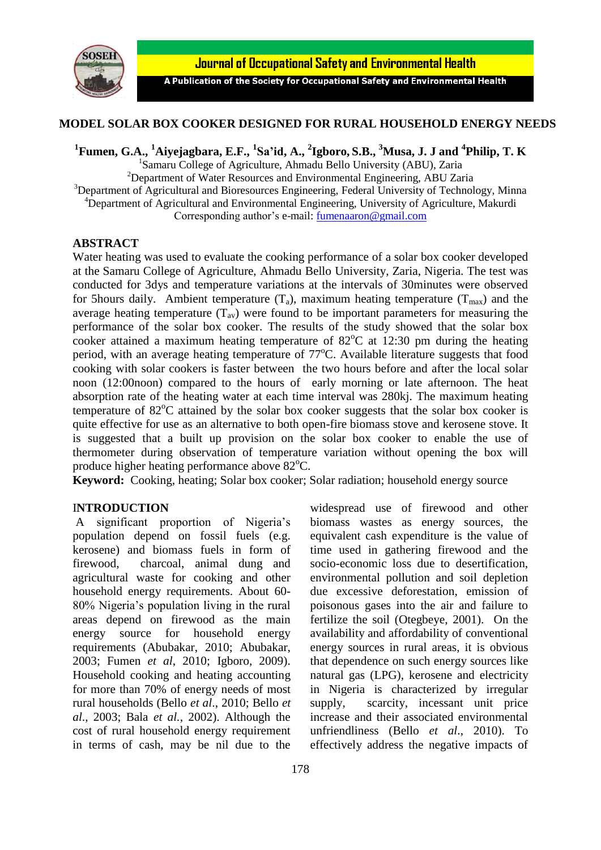

Journal of Occupational Safety and Environmental Health

A Publication of the Society for Occupational Safety and Environmental Health

## **MODEL SOLAR BOX COOKER DESIGNED FOR RURAL HOUSEHOLD ENERGY NEEDS**

**1 Fumen, G.A., <sup>1</sup>Aiyejagbara, E.F., 1 Sa'id, A., <sup>2</sup> Igboro, S.B., <sup>3</sup>Musa, J. J and <sup>4</sup> Philip, T. K**

<sup>1</sup>Samaru College of Agriculture, Ahmadu Bello University (ABU), Zaria <sup>2</sup>Department of Water Resources and Environmental Engineering, ABU Zaria <sup>3</sup>Department of Agricultural and Bioresources Engineering, Federal University of Technology, Minna <sup>4</sup>Department of Agricultural and Environmental Engineering, University of Agriculture, Makurdi Corresponding author's e-mail: [fumenaaron@gmail.com](mailto:fumenaaron@gmail.com)

### **ABSTRACT**

Water heating was used to evaluate the cooking performance of a solar box cooker developed at the Samaru College of Agriculture, Ahmadu Bello University, Zaria, Nigeria. The test was conducted for 3dys and temperature variations at the intervals of 30minutes were observed for 5hours daily. Ambient temperature  $(T_a)$ , maximum heating temperature  $(T_{max})$  and the average heating temperature  $(T_{av})$  were found to be important parameters for measuring the performance of the solar box cooker. The results of the study showed that the solar box cooker attained a maximum heating temperature of  $82^{\circ}$ C at 12:30 pm during the heating period, with an average heating temperature of  $77^{\circ}$ C. Available literature suggests that food cooking with solar cookers is faster between the two hours before and after the local solar noon (12:00noon) compared to the hours of early morning or late afternoon. The heat absorption rate of the heating water at each time interval was 280kj. The maximum heating temperature of  $82^{\circ}$ C attained by the solar box cooker suggests that the solar box cooker is quite effective for use as an alternative to both open-fire biomass stove and kerosene stove. It is suggested that a built up provision on the solar box cooker to enable the use of thermometer during observation of temperature variation without opening the box will produce higher heating performance above  $82^{\circ}$ C.

**Keyword:** Cooking, heating; Solar box cooker; Solar radiation; household energy source

#### I**NTRODUCTION**

A significant proportion of Nigeria's population depend on fossil fuels (e.g. kerosene) and biomass fuels in form of firewood, charcoal, animal dung and agricultural waste for cooking and other household energy requirements. About 60- 80% Nigeria's population living in the rural areas depend on firewood as the main energy source for household energy requirements (Abubakar, 2010; Abubakar, 2003; Fumen *et al*, 2010; Igboro, 2009). Household cooking and heating accounting for more than 70% of energy needs of most rural households (Bello *et al*., 2010; Bello *et al*., 2003; Bala *et al.*, 2002). Although the cost of rural household energy requirement in terms of cash, may be nil due to the

widespread use of firewood and other biomass wastes as energy sources, the equivalent cash expenditure is the value of time used in gathering firewood and the socio-economic loss due to desertification, environmental pollution and soil depletion due excessive deforestation, emission of poisonous gases into the air and failure to fertilize the soil (Otegbeye, 2001). On the availability and affordability of conventional energy sources in rural areas, it is obvious that dependence on such energy sources like natural gas (LPG), kerosene and electricity in Nigeria is characterized by irregular supply, scarcity, incessant unit price increase and their associated environmental unfriendliness (Bello *et al*., 2010). To effectively address the negative impacts of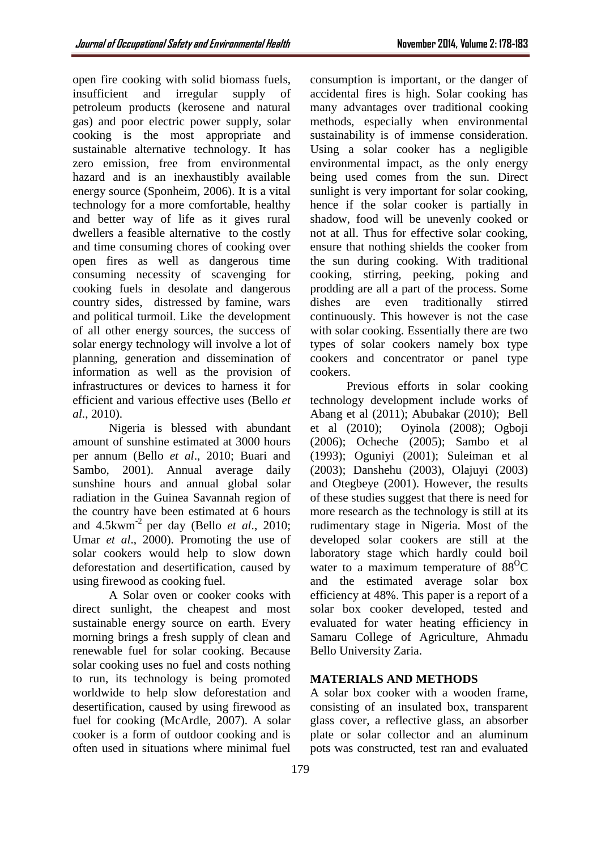open fire cooking with solid biomass fuels, insufficient and irregular supply of petroleum products (kerosene and natural gas) and poor electric power supply, solar cooking is the most appropriate and sustainable alternative technology. It has zero emission, free from environmental hazard and is an inexhaustibly available energy source (Sponheim, 2006). It is a vital technology for a more comfortable, healthy and better way of life as it gives rural dwellers a feasible alternative to the costly and time consuming chores of cooking over open fires as well as dangerous time consuming necessity of scavenging for cooking fuels in desolate and dangerous country sides, distressed by famine, wars and political turmoil. Like the development of all other energy sources, the success of solar energy technology will involve a lot of planning, generation and dissemination of information as well as the provision of infrastructures or devices to harness it for efficient and various effective uses (Bello *et al*., 2010).

Nigeria is blessed with abundant amount of sunshine estimated at 3000 hours per annum (Bello *et al*., 2010; Buari and Sambo, 2001). Annual average daily sunshine hours and annual global solar radiation in the Guinea Savannah region of the country have been estimated at 6 hours and 4.5kwm-2 per day (Bello *et al*., 2010; Umar *et al*., 2000). Promoting the use of solar cookers would help to slow down deforestation and desertification, caused by using firewood as cooking fuel.

A Solar oven or cooker cooks with direct sunlight, the cheapest and most sustainable energy source on earth. Every morning brings a fresh supply of clean and renewable fuel for solar cooking. Because solar cooking uses no fuel and costs nothing to run, its technology is being promoted worldwide to help slow deforestation and desertification, caused by using firewood as fuel for cooking (McArdle, 2007). A solar cooker is a form of outdoor cooking and is often used in situations where minimal fuel

consumption is important, or the danger of accidental fires is high. Solar cooking has many advantages over traditional cooking methods, especially when environmental sustainability is of immense consideration. Using a solar cooker has a negligible environmental impact, as the only energy being used comes from the sun. Direct sunlight is very important for solar cooking, hence if the solar cooker is partially in shadow, food will be unevenly cooked or not at all. Thus for effective solar cooking, ensure that nothing shields the cooker from the sun during cooking. With traditional cooking, stirring, peeking, poking and prodding are all a part of the process. Some dishes are even traditionally stirred continuously. This however is not the case with solar cooking. Essentially there are two types of solar cookers namely box type cookers and concentrator or panel type cookers.

Previous efforts in solar cooking technology development include works of Abang et al (2011); Abubakar (2010); Bell et al (2010); Oyinola (2008); Ogboji (2006); Ocheche (2005); Sambo et al (1993); Oguniyi (2001); Suleiman et al (2003); Danshehu (2003), Olajuyi (2003) and Otegbeye (2001). However, the results of these studies suggest that there is need for more research as the technology is still at its rudimentary stage in Nigeria. Most of the developed solar cookers are still at the laboratory stage which hardly could boil water to a maximum temperature of  $88^{\circ}$ C and the estimated average solar box efficiency at 48%. This paper is a report of a solar box cooker developed, tested and evaluated for water heating efficiency in Samaru College of Agriculture, Ahmadu Bello University Zaria.

# **MATERIALS AND METHODS**

A solar box cooker with a wooden frame, consisting of an insulated box, transparent glass cover, a reflective glass, an absorber plate or solar collector and an aluminum pots was constructed, test ran and evaluated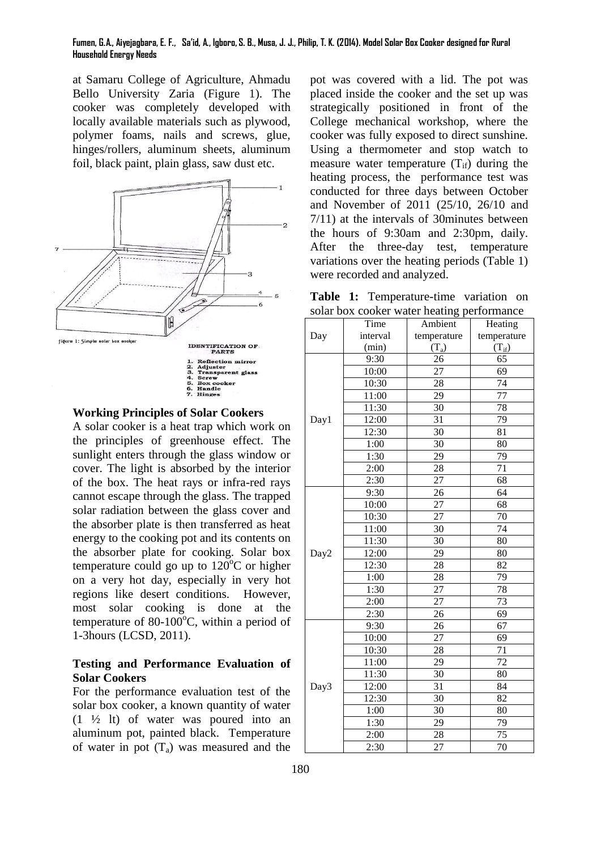#### **Fumen, G.A., Aiyejagbara, E. F., Sa'id, A., Igboro, S. B., Musa, J. J., Philip, T. K. (2014). Model Solar Box Cooker designed for Rural Household Energy Needs**

at Samaru College of Agriculture, Ahmadu Bello University Zaria (Figure 1). The cooker was completely developed with locally available materials such as plywood, polymer foams, nails and screws, glue, hinges/rollers, aluminum sheets, aluminum foil, black paint, plain glass, saw dust etc.



### **Working Principles of Solar Cookers**

A solar cooker is a heat trap which work on the principles of greenhouse effect. The sunlight enters through the glass window or cover. The light is absorbed by the interior of the box. The heat rays or infra-red rays cannot escape through the glass. The trapped solar radiation between the glass cover and the absorber plate is then transferred as heat energy to the cooking pot and its contents on the absorber plate for cooking. Solar box temperature could go up to  $120^{\circ}$ C or higher on a very hot day, especially in very hot regions like desert conditions. However, most solar cooking is done at the temperature of 80-100 $^{\circ}$ C, within a period of 1-3hours (LCSD, 2011).

### **Testing and Performance Evaluation of Solar Cookers**

For the performance evaluation test of the solar box cooker, a known quantity of water (1 ½ lt) of water was poured into an aluminum pot, painted black. Temperature of water in pot  $(T_a)$  was measured and the

pot was covered with a lid. The pot was placed inside the cooker and the set up was strategically positioned in front of the College mechanical workshop, where the cooker was fully exposed to direct sunshine. Using a thermometer and stop watch to measure water temperature  $(T_{if})$  during the heating process, the performance test was conducted for three days between October and November of 2011 (25/10, 26/10 and 7/11) at the intervals of 30minutes between the hours of 9:30am and 2:30pm, daily. After the three-day test, temperature variations over the heating periods (Table 1) were recorded and analyzed.

**Table 1:** Temperature-time variation on solar box cooker water heating performance

| solar box cooker water heating performance |          |                 |                 |
|--------------------------------------------|----------|-----------------|-----------------|
|                                            | Time     | Ambient         | Heating         |
| Day                                        | interval | temperature     | temperature     |
|                                            | (min)    | $(T_a)$         | $(T_{if})$      |
| Day1                                       | 9:30     | 26              | $\overline{65}$ |
|                                            | 10:00    | $\overline{27}$ | 69              |
|                                            | 10:30    | 28              | $\overline{74}$ |
|                                            | 11:00    | 29              | 77              |
|                                            | 11:30    | 30              | 78              |
|                                            | 12:00    | $\overline{31}$ | 79              |
|                                            | 12:30    | 30              | 81              |
|                                            | 1:00     | 30              | 80              |
|                                            | 1:30     | 29              | 79              |
|                                            | 2:00     | 28              | 71              |
|                                            | 2:30     | $\overline{27}$ | 68              |
|                                            | 9:30     | 26              | 64              |
|                                            | 10:00    | 27              | 68              |
|                                            | 10:30    | $\overline{27}$ | 70              |
|                                            | 11:00    | 30              | 74              |
|                                            | 11:30    | 30              | 80              |
| Day2                                       | 12:00    | 29              | 80              |
|                                            | 12:30    | 28              | 82              |
|                                            | 1:00     | 28              | 79              |
|                                            | 1:30     | 27              | 78              |
|                                            | 2:00     | 27              | 73              |
|                                            | 2:30     | 26              | 69              |
| Day3                                       | 9:30     | 26              | 67              |
|                                            | 10:00    | 27              | 69              |
|                                            | 10:30    | 28              | 71              |
|                                            | 11:00    | 29              | 72              |
|                                            | 11:30    | 30              | 80              |
|                                            | 12:00    | 31              | 84              |
|                                            | 12:30    | $\overline{30}$ | 82              |
|                                            | 1:00     | $\overline{30}$ | 80              |
|                                            | 1:30     | 29              | 79              |
|                                            | 2:00     | 28              | 75              |
|                                            | 2:30     | $\overline{27}$ | $\overline{70}$ |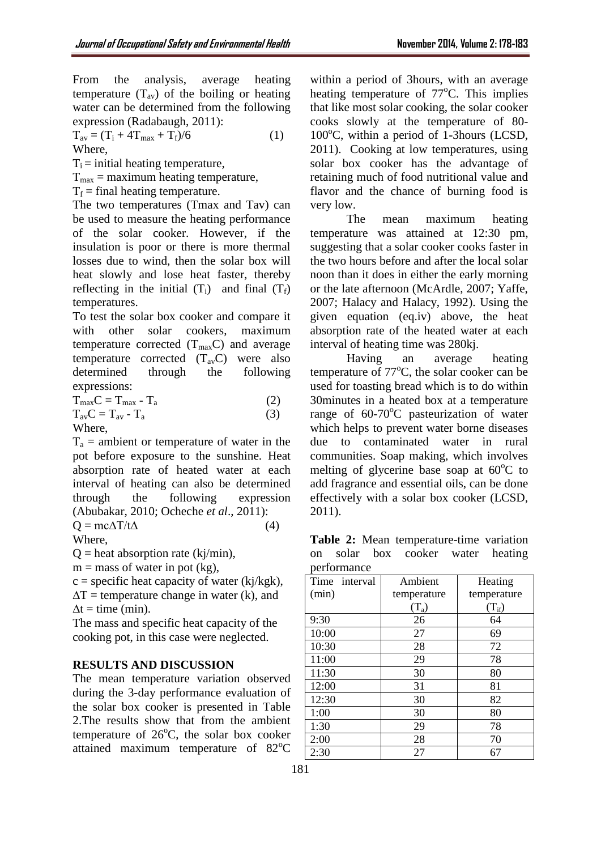From the analysis, average heating temperature  $(T_{av})$  of the boiling or heating water can be determined from the following expression (Radabaugh, 2011):

 $T_{av} = (T_i + 4T_{max} + T_f)/6$  (1) Where,

 $T_i$  = initial heating temperature,

 $T<sub>max</sub>$  = maximum heating temperature,

 $T_f$  = final heating temperature.

The two temperatures (Tmax and Tav) can be used to measure the heating performance of the solar cooker. However, if the insulation is poor or there is more thermal losses due to wind, then the solar box will heat slowly and lose heat faster, thereby reflecting in the initial  $(T_i)$  and final  $(T_f)$ temperatures.

To test the solar box cooker and compare it with other solar cookers, maximum temperature corrected  $(T_{\text{max}}C)$  and average temperature corrected  $(T_{av}C)$  were also determined through the following expressions:

 $T_{\text{max}}C = T_{\text{max}} - T_{\text{a}}$  (2)  $T_{av}C = T_{av} - T_a$  (3) Where,

 $T_a$  = ambient or temperature of water in the pot before exposure to the sunshine. Heat absorption rate of heated water at each interval of heating can also be determined through the following expression (Abubakar, 2010; Ocheche *et al*., 2011):  $Q = mc\Delta T/t\Delta$  (4)

Where,

 $Q =$  heat absorption rate (kj/min),

 $m =$  mass of water in pot (kg),

 $c =$  specific heat capacity of water (kj/kgk),  $\Delta T$  = temperature change in water (k), and  $\Delta t = \text{time (min)}.$ 

The mass and specific heat capacity of the cooking pot, in this case were neglected.

### **RESULTS AND DISCUSSION**

The mean temperature variation observed during the 3-day performance evaluation of the solar box cooker is presented in Table 2.The results show that from the ambient temperature of  $26^{\circ}$ C, the solar box cooker attained maximum temperature of  $82^{\circ}$ C

within a period of 3hours, with an average heating temperature of  $77^{\circ}$ C. This implies that like most solar cooking, the solar cooker cooks slowly at the temperature of 80-  $100^{\circ}$ C, within a period of 1-3hours (LCSD, 2011). Cooking at low temperatures, using solar box cooker has the advantage of retaining much of food nutritional value and flavor and the chance of burning food is very low.

The mean maximum heating temperature was attained at 12:30 pm, suggesting that a solar cooker cooks faster in the two hours before and after the local solar noon than it does in either the early morning or the late afternoon (McArdle, 2007; Yaffe, 2007; Halacy and Halacy, 1992). Using the given equation (eq.iv) above, the heat absorption rate of the heated water at each interval of heating time was 280kj.

Having an average heating temperature of  $77^{\circ}$ C, the solar cooker can be used for toasting bread which is to do within 30minutes in a heated box at a temperature range of  $60-70^{\circ}$ C pasteurization of water which helps to prevent water borne diseases due to contaminated water in rural communities. Soap making, which involves melting of glycerine base soap at  $60^{\circ}$ C to add fragrance and essential oils, can be done effectively with a solar box cooker (LCSD, 2011).

**Table 2:** Mean temperature-time variation on solar box cooker water heating performance

| performance   |                                         |             |  |  |
|---------------|-----------------------------------------|-------------|--|--|
| Time interval | Ambient                                 | Heating     |  |  |
| (min)         | temperature                             | temperature |  |  |
|               | $\left( \mathrm{T}_{\mathrm{a}}\right)$ | $(T_{if})$  |  |  |
| 9:30          | 26                                      | 64          |  |  |
| 10:00         | 27                                      | 69          |  |  |
| 10:30         | 28                                      | 72          |  |  |
| 11:00         | 29                                      | 78          |  |  |
| 11:30         | 30                                      | 80          |  |  |
| 12:00         | 31                                      | 81          |  |  |
| 12:30         | 30                                      | 82          |  |  |
| 1:00          | 30                                      | 80          |  |  |
| 1:30          | 29                                      | 78          |  |  |
| 2:00          | 28                                      | 70          |  |  |
| 2:30          | 27                                      | 67          |  |  |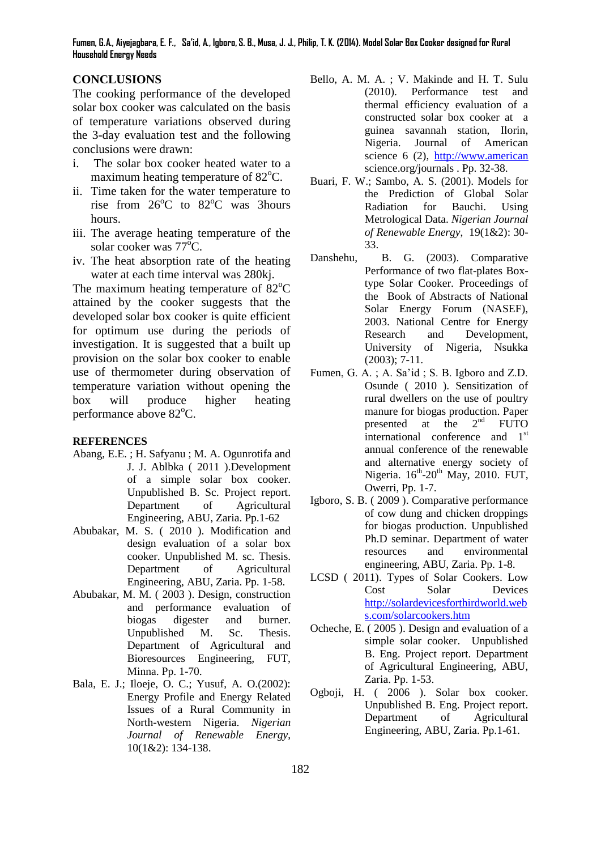**Fumen, G.A., Aiyejagbara, E. F., Sa'id, A., Igboro, S. B., Musa, J. J., Philip, T. K. (2014). Model Solar Box Cooker designed for Rural Household Energy Needs**

## **CONCLUSIONS**

The cooking performance of the developed solar box cooker was calculated on the basis of temperature variations observed during the 3-day evaluation test and the following conclusions were drawn:

- i. The solar box cooker heated water to a maximum heating temperature of  $82^{\circ}$ C.
- ii. Time taken for the water temperature to rise from  $26^{\circ}$ C to  $82^{\circ}$ C was 3hours hours.
- iii. The average heating temperature of the solar cooker was  $77^{\circ}$ C.
- iv. The heat absorption rate of the heating water at each time interval was 280kj.

The maximum heating temperature of  $82^{\circ}$ C attained by the cooker suggests that the developed solar box cooker is quite efficient for optimum use during the periods of investigation. It is suggested that a built up provision on the solar box cooker to enable use of thermometer during observation of temperature variation without opening the box will produce higher heating performance above  $82^{\circ}$ C.

#### **REFERENCES**

- Abang, E.E. ; H. Safyanu ; M. A. Ogunrotifa and J. J. Ablbka ( 2011 ).Development of a simple solar box cooker. Unpublished B. Sc. Project report. Department of Agricultural Engineering, ABU, Zaria. Pp.1-62
- Abubakar, M. S. ( 2010 ). Modification and design evaluation of a solar box cooker. Unpublished M. sc. Thesis. Department of Agricultural Engineering, ABU, Zaria. Pp. 1-58.
- Abubakar, M. M. ( 2003 ). Design, construction and performance evaluation of biogas digester and burner. Unpublished M. Sc. Thesis. Department of Agricultural and Bioresources Engineering, FUT, Minna. Pp. 1-70.
- Bala, E. J.; Iloeje, O. C.; Yusuf, A. O.(2002): Energy Profile and Energy Related Issues of a Rural Community in North-western Nigeria. *Nigerian Journal of Renewable Energy*, 10(1&2): 134-138.
- Bello, A. M. A. ; V. Makinde and H. T. Sulu (2010). Performance test and thermal efficiency evaluation of a constructed solar box cooker at a guinea savannah station, Ilorin, Nigeria. Journal of American science 6 (2), [http://www.american](http://www.american/) science.org/journals . Pp. 32-38.
- Buari, F. W.; Sambo, A. S. (2001). Models for the Prediction of Global Solar Radiation for Bauchi. Using Metrological Data. *Nigerian Journal of Renewable Energy*, 19(1&2): 30- 33.
- Danshehu, B. G. (2003). Comparative Performance of two flat-plates Boxtype Solar Cooker. Proceedings of the Book of Abstracts of National Solar Energy Forum (NASEF), 2003. National Centre for Energy Research and Development, University of Nigeria, Nsukka (2003); 7-11.
- Fumen, G. A. ; A. Sa'id ; S. B. Igboro and Z.D. Osunde ( 2010 ). Sensitization of rural dwellers on the use of poultry manure for biogas production. Paper<br>presented at the  $2<sup>nd</sup>$  FUTO presented at the  $2^{nd}$  FUTO international conference and 1<sup>st</sup> annual conference of the renewable and alternative energy society of Nigeria.  $16^{th}$ -20<sup>th</sup> May, 2010. FUT, Owerri, Pp. 1-7.
- Igboro, S. B. ( 2009 ). Comparative performance of cow dung and chicken droppings for biogas production. Unpublished Ph.D seminar. Department of water resources and environmental engineering, ABU, Zaria. Pp. 1-8.
- LCSD ( 2011). Types of Solar Cookers. Low Cost Solar Devices [http://solardevicesforthirdworld.web](http://solardevicesforthirdworld.webs.com/solarcookers.htm) [s.com/solarcookers.htm](http://solardevicesforthirdworld.webs.com/solarcookers.htm)
- Ocheche, E. ( 2005 ). Design and evaluation of a simple solar cooker. Unpublished B. Eng. Project report. Department of Agricultural Engineering, ABU, Zaria. Pp. 1-53.
- Ogboji, H. ( 2006 ). Solar box cooker. Unpublished B. Eng. Project report. Department of Agricultural Engineering, ABU, Zaria. Pp.1-61.